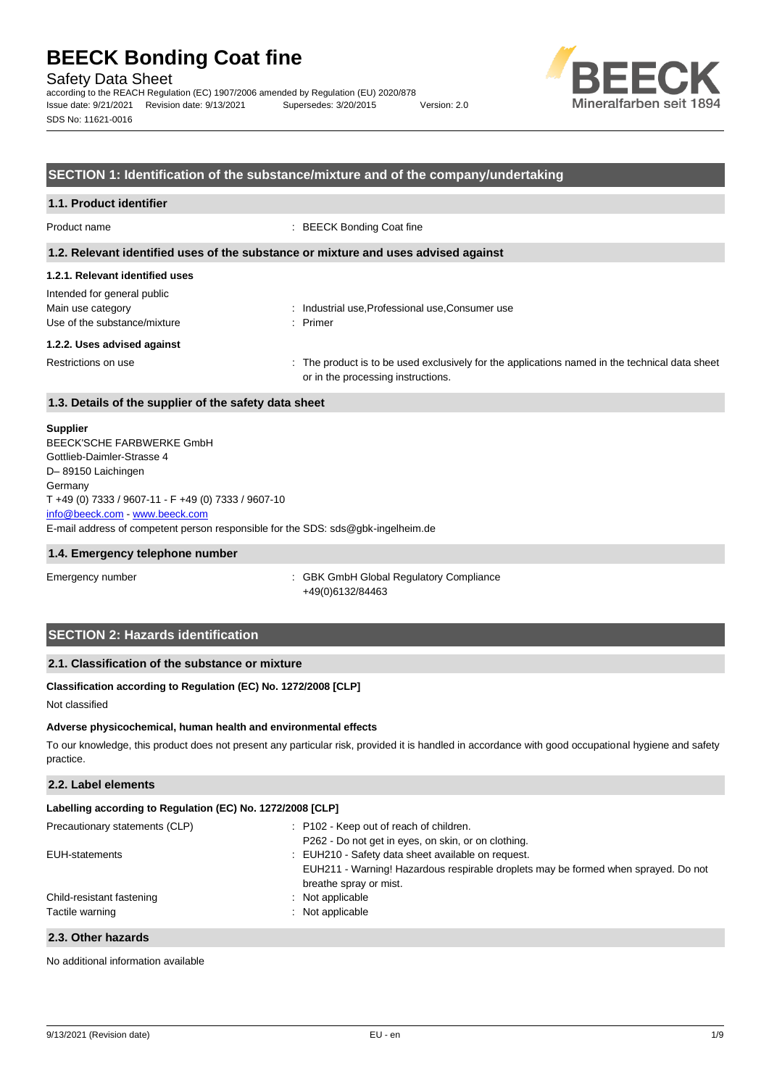Safety Data Sheet

according to the REACH Regulation (EC) 1907/2006 amended by Regulation (EU) 2020/878 Issue date: 9/21/2021 Revision date: 9/13/2021 Supersedes: 3/20/2015 Version: 2.0 SDS No: 11621-0016



### **SECTION 1: Identification of the substance/mixture and of the company/undertaking**

#### **1.1. Product identifier**

Product name  $\qquad \qquad : \text{BEECK Bonding Coat fine}$ 

#### **1.2. Relevant identified uses of the substance or mixture and uses advised against**

## **1.2.1. Relevant identified uses** Intended for general public

| .                            |  | . |  |  |  |  |
|------------------------------|--|---|--|--|--|--|
| Main use category            |  |   |  |  |  |  |
| Use of the substance/mixture |  |   |  |  |  |  |

: Industrial use, Professional use, Consumer use : Primer

#### **1.2.2. Uses advised against**

Restrictions on use example of the product is to be used exclusively for the applications named in the technical data sheet or in the processing instructions.

### **1.3. Details of the supplier of the safety data sheet**

#### **Supplier**

E-mail address of competent person responsible for the SDS: sds@gbk-ingelheim.de BEECK'SCHE FARBWERKE GmbH Gottlieb-Daimler-Strasse 4 D– 89150 Laichingen Germany T +49 (0) 7333 / 9607-11 - F +49 (0) 7333 / 9607-10 [info@beeck.com](mailto:info@beeck.com) - [www.beeck.com](http://www.beeck.com/)

#### **1.4. Emergency telephone number**

Emergency number **Emergency** number **1996** is GBK GmbH Global Regulatory Compliance +49(0)6132/84463

## **SECTION 2: Hazards identification**

## **2.1. Classification of the substance or mixture**

### **Classification according to Regulation (EC) No. 1272/2008 [CLP]**

Not classified

#### **Adverse physicochemical, human health and environmental effects**

To our knowledge, this product does not present any particular risk, provided it is handled in accordance with good occupational hygiene and safety practice.

## **2.2. Label elements**

| Labelling according to Regulation (EC) No. 1272/2008 [CLP] |                                                                                                              |  |  |  |
|------------------------------------------------------------|--------------------------------------------------------------------------------------------------------------|--|--|--|
| Precautionary statements (CLP)                             | : P102 - Keep out of reach of children.                                                                      |  |  |  |
|                                                            | P262 - Do not get in eyes, on skin, or on clothing.                                                          |  |  |  |
| EUH-statements                                             | : EUH210 - Safety data sheet available on request.                                                           |  |  |  |
|                                                            | EUH211 - Warning! Hazardous respirable droplets may be formed when sprayed. Do not<br>breathe spray or mist. |  |  |  |
| Child-resistant fastening                                  | : Not applicable                                                                                             |  |  |  |
| Tactile warning                                            | : Not applicable                                                                                             |  |  |  |
|                                                            |                                                                                                              |  |  |  |

### **2.3. Other hazards**

No additional information available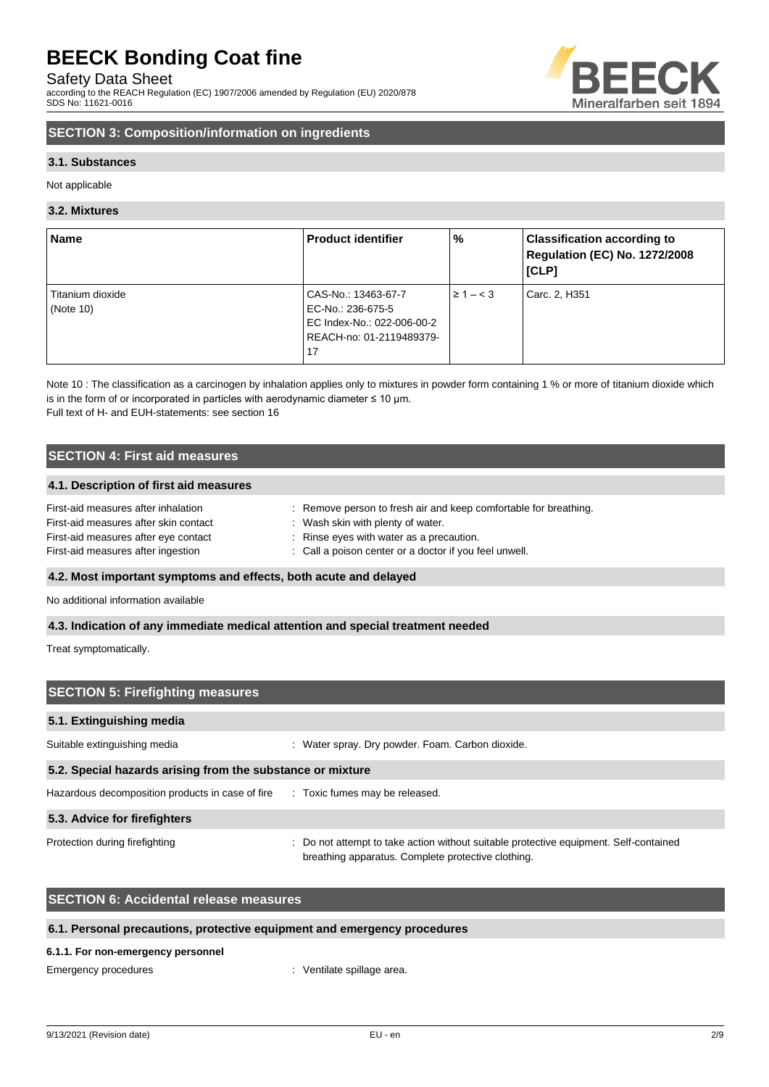Safety Data Sheet

according to the REACH Regulation (EC) 1907/2006 amended by Regulation (EU) 2020/878 SDS No: 11621-0016



# **SECTION 3: Composition/information on ingredients**

### **3.1. Substances**

Not applicable

#### **3.2. Mixtures**

| <b>Name</b>      | <b>Product identifier</b>  | %              | <b>Classification according to</b><br>Regulation (EC) No. 1272/2008<br>[CLP] |
|------------------|----------------------------|----------------|------------------------------------------------------------------------------|
| Titanium dioxide | CAS-No.: 13463-67-7        | $\geq 1 - < 3$ | Carc. 2, H351                                                                |
| (Note $10$ )     | EC-No.: 236-675-5          |                |                                                                              |
|                  | EC Index-No.: 022-006-00-2 |                |                                                                              |
|                  | REACH-no: 01-2119489379-   |                |                                                                              |
|                  | 17                         |                |                                                                              |

Note 10 : The classification as a carcinogen by inhalation applies only to mixtures in powder form containing 1 % or more of titanium dioxide which is in the form of or incorporated in particles with aerodynamic diameter  $\leq 10$  µm. Full text of H- and EUH-statements: see section 16

# **SECTION 4: First aid measures**

#### **4.1. Description of first aid measures**

| First-aid measures after inhalation   | Remove person to fresh air and keep comfortable for breathing. |
|---------------------------------------|----------------------------------------------------------------|
| First-aid measures after skin contact | : Wash skin with plenty of water.                              |
| First-aid measures after eye contact  | : Rinse eyes with water as a precaution.                       |
| First-aid measures after ingestion    | : Call a poison center or a doctor if you feel unwell.         |

## **4.2. Most important symptoms and effects, both acute and delayed**

No additional information available

#### **4.3. Indication of any immediate medical attention and special treatment needed**

Treat symptomatically.

| <b>SECTION 5: Firefighting measures</b>                                         |                                                                                                                                             |  |  |  |
|---------------------------------------------------------------------------------|---------------------------------------------------------------------------------------------------------------------------------------------|--|--|--|
| 5.1. Extinguishing media                                                        |                                                                                                                                             |  |  |  |
| Suitable extinguishing media                                                    | Water spray. Dry powder. Foam. Carbon dioxide.                                                                                              |  |  |  |
| 5.2. Special hazards arising from the substance or mixture                      |                                                                                                                                             |  |  |  |
| Hazardous decomposition products in case of fire : Toxic fumes may be released. |                                                                                                                                             |  |  |  |
| 5.3. Advice for firefighters                                                    |                                                                                                                                             |  |  |  |
| Protection during firefighting                                                  | : Do not attempt to take action without suitable protective equipment. Self-contained<br>breathing apparatus. Complete protective clothing. |  |  |  |

# **SECTION 6: Accidental release measures**

### **6.1. Personal precautions, protective equipment and emergency procedures**

#### **6.1.1. For non-emergency personnel**

Emergency procedures in the spillage area.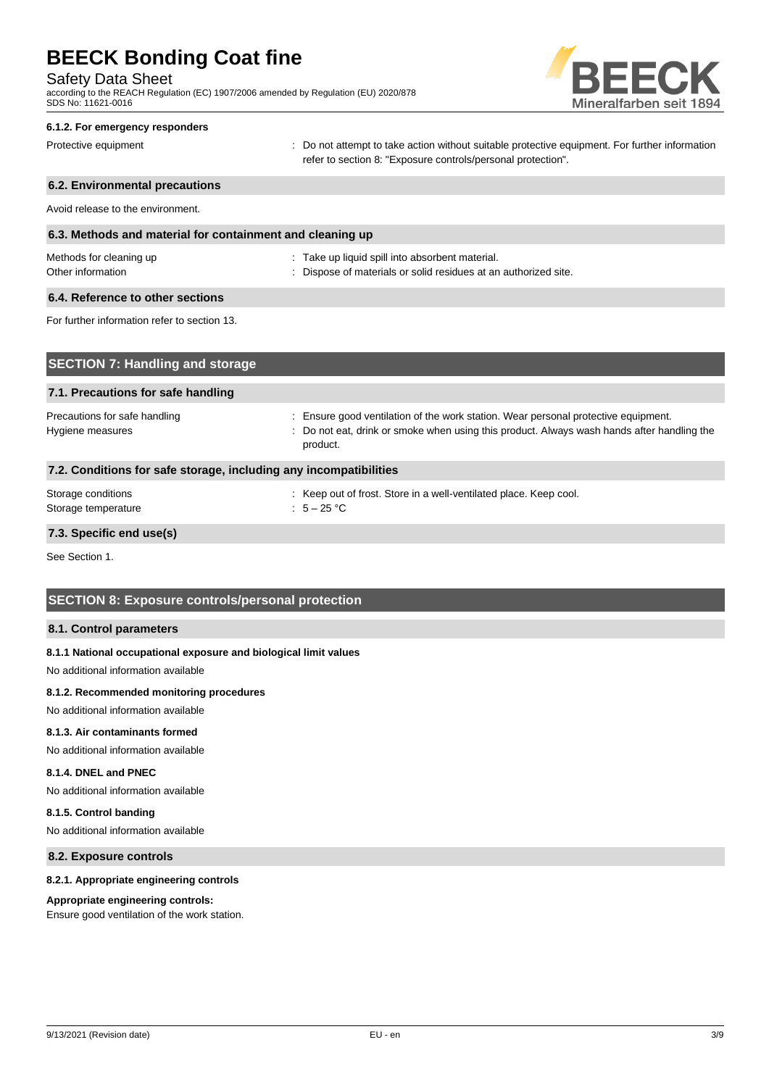Safety Data Sheet

according to the REACH Regulation (EC) 1907/2006 amended by Regulation (EU) 2020/878 SDS No: 11621-0016



#### **6.1.2. For emergency responders**

Protective equipment **interval of the CO** not attempt to take action without suitable protective equipment. For further information refer to section 8: "Exposure controls/personal protection".

# **6.2. Environmental precautions** Avoid release to the environment. **6.3. Methods and material for containment and cleaning up** Methods for cleaning up example and the state up liquid spill into absorbent material. Other information **Other information** : Dispose of materials or solid residues at an authorized site. **6.4. Reference to other sections** For further information refer to section 13. **SECTION 7. H**

| $\overline{1}$ SECTION 7. Handing and storage                     |                                                                                                                                                                                              |
|-------------------------------------------------------------------|----------------------------------------------------------------------------------------------------------------------------------------------------------------------------------------------|
| 7.1. Precautions for safe handling                                |                                                                                                                                                                                              |
| Precautions for safe handling<br>Hygiene measures                 | : Ensure good ventilation of the work station. Wear personal protective equipment.<br>: Do not eat, drink or smoke when using this product. Always wash hands after handling the<br>product. |
| 7.2. Conditions for safe storage, including any incompatibilities |                                                                                                                                                                                              |
| Storage conditions<br>Storage temperature                         | : Keep out of frost. Store in a well-ventilated place. Keep cool.<br>: $5-25$ °C                                                                                                             |

### **7.3. Specific end use(s)**

See Section 1.

## **SECTION 8: Exposure controls/personal protection**

#### **8.1. Control parameters**

#### **8.1.1 National occupational exposure and biological limit values**

No additional information available

#### **8.1.2. Recommended monitoring procedures**

No additional information available

#### **8.1.3. Air contaminants formed**

No additional information available

## **8.1.4. DNEL and PNEC**

No additional information available

#### **8.1.5. Control banding**

No additional information available

# **8.2. Exposure controls**

#### **8.2.1. Appropriate engineering controls**

#### **Appropriate engineering controls:**

Ensure good ventilation of the work station.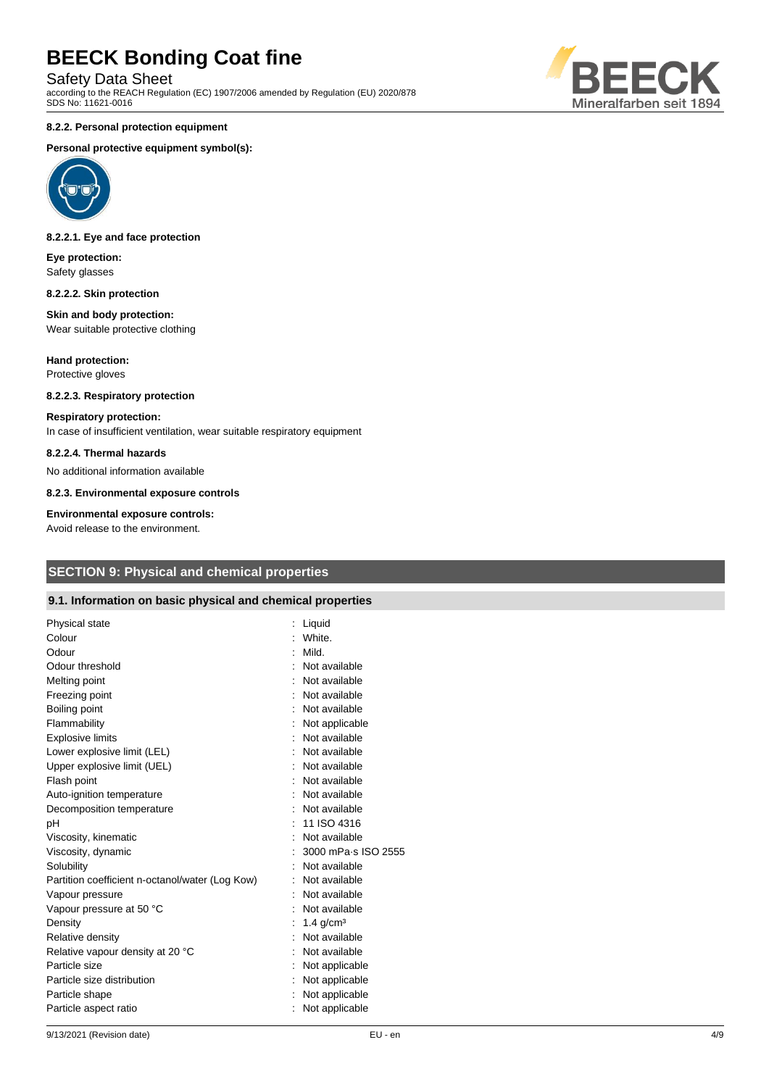Safety Data Sheet

according to the REACH Regulation (EC) 1907/2006 amended by Regulation (EU) 2020/878 SDS No: 11621-0016

#### **8.2.2. Personal protection equipment**

#### **Personal protective equipment symbol(s):**



#### **8.2.2.1. Eye and face protection**

**Eye protection:** Safety glasses

#### **8.2.2.2. Skin protection**

#### **Skin and body protection:** Wear suitable protective clothing

**Hand protection:** Protective gloves

## **8.2.2.3. Respiratory protection**

#### **Respiratory protection:**

In case of insufficient ventilation, wear suitable respiratory equipment

#### **8.2.2.4. Thermal hazards**

No additional information available

#### **8.2.3. Environmental exposure controls**

#### **Environmental exposure controls:**

Avoid release to the environment.

# **SECTION 9: Physical and chemical properties**

### **9.1. Information on basic physical and chemical properties**

| Physical state                                  | Liquid                  |  |
|-------------------------------------------------|-------------------------|--|
| Colour                                          | White.                  |  |
| Odour                                           | Mild.                   |  |
| Odour threshold                                 | Not available           |  |
| Melting point                                   | Not available           |  |
| Freezing point                                  | Not available           |  |
| Boiling point                                   | : Not available         |  |
| Flammability                                    | Not applicable          |  |
| <b>Explosive limits</b>                         | Not available           |  |
| Lower explosive limit (LEL)                     | : Not available         |  |
| Upper explosive limit (UEL)                     | Not available           |  |
| Flash point                                     | : Not available         |  |
| Auto-ignition temperature                       | : Not available         |  |
| Decomposition temperature                       | Not available           |  |
| pH                                              | 11 ISO 4316             |  |
| Viscosity, kinematic                            | Not available           |  |
| Viscosity, dynamic                              | 3000 mPa s ISO 2555     |  |
| Solubility                                      | Not available           |  |
| Partition coefficient n-octanol/water (Log Kow) | Not available           |  |
| Vapour pressure                                 | Not available           |  |
| Vapour pressure at 50 °C                        | Not available           |  |
| Density                                         | $1.4$ g/cm <sup>3</sup> |  |
| Relative density                                | Not available           |  |
| Relative vapour density at 20 °C                | Not available           |  |
| Particle size                                   | Not applicable          |  |
| Particle size distribution                      | : Not applicable        |  |
| Particle shape                                  | Not applicable          |  |
| Particle aspect ratio                           | Not applicable          |  |
|                                                 |                         |  |

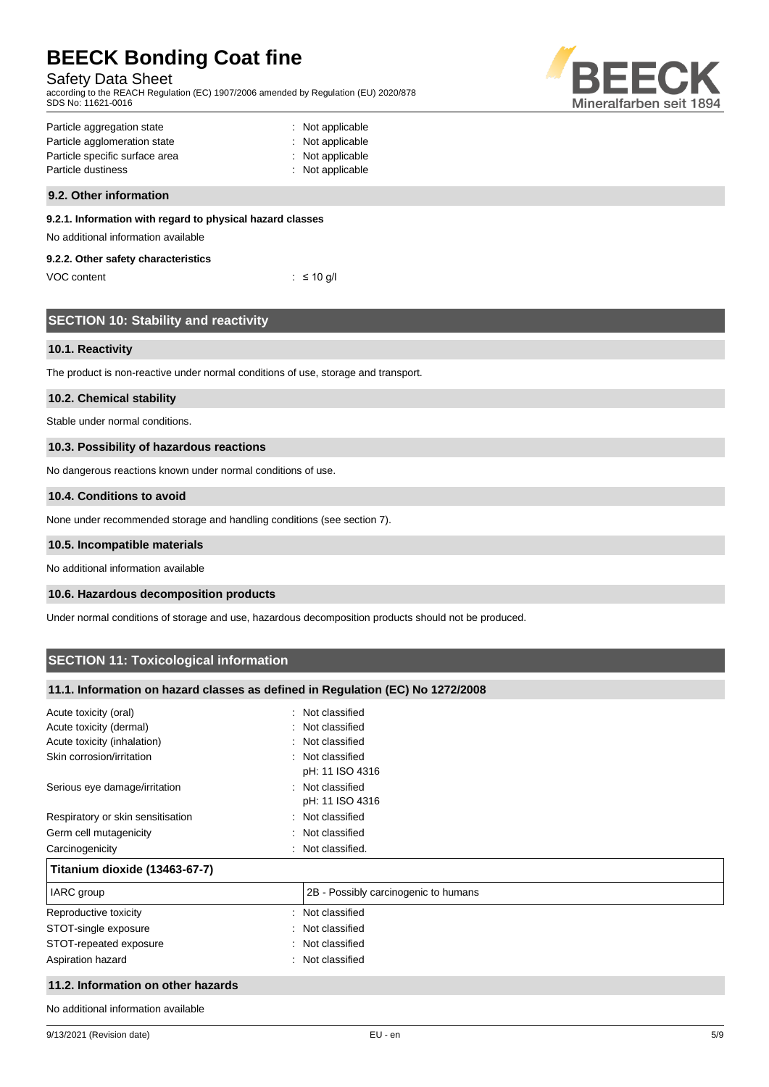## Safety Data Sheet

according to the REACH Regulation (EC) 1907/2006 amended by Regulation (EU) 2020/878 SDS No: 11621-0016



| Particle aggregation state     | : Not applicable |
|--------------------------------|------------------|
| Particle agglomeration state   | : Not applicable |
| Particle specific surface area | : Not applicable |
| Particle dustiness             | : Not applicable |
|                                |                  |

#### **9.2. Other information**

#### **9.2.1. Information with regard to physical hazard classes**

No additional information available

#### **9.2.2. Other safety characteristics**

| VOC content |  | : $\leq 10$ g/l |
|-------------|--|-----------------|
|-------------|--|-----------------|

|  | <b>SECTION 10: Stability and reactivity</b> |
|--|---------------------------------------------|
|  |                                             |
|  |                                             |

### **10.1. Reactivity**

The product is non-reactive under normal conditions of use, storage and transport.

#### **10.2. Chemical stability**

Stable under normal conditions.

#### **10.3. Possibility of hazardous reactions**

No dangerous reactions known under normal conditions of use.

#### **10.4. Conditions to avoid**

None under recommended storage and handling conditions (see section 7).

#### **10.5. Incompatible materials**

No additional information available

#### **10.6. Hazardous decomposition products**

Under normal conditions of storage and use, hazardous decomposition products should not be produced.

# **SECTION 11: Toxicological information**

### **11.1. Information on hazard classes as defined in Regulation (EC) No 1272/2008**

| Acute toxicity (oral)              | Not classified<br>$\sim$             |
|------------------------------------|--------------------------------------|
| Acute toxicity (dermal)            | : Not classified                     |
| Acute toxicity (inhalation)        | : Not classified                     |
| Skin corrosion/irritation          | : Not classified<br>pH: 11 ISO 4316  |
| Serious eye damage/irritation      | : Not classified<br>pH: 11 ISO 4316  |
| Respiratory or skin sensitisation  | : Not classified                     |
| Germ cell mutagenicity             | Not classified<br>٠.                 |
| Carcinogenicity                    | Not classified.                      |
| Titanium dioxide (13463-67-7)      |                                      |
| IARC group                         | 2B - Possibly carcinogenic to humans |
| Reproductive toxicity              | : Not classified                     |
| STOT-single exposure               | : Not classified                     |
| STOT-repeated exposure             | : Not classified                     |
| Aspiration hazard                  | : Not classified                     |
| 11.2. Information on other hazards |                                      |

No additional information available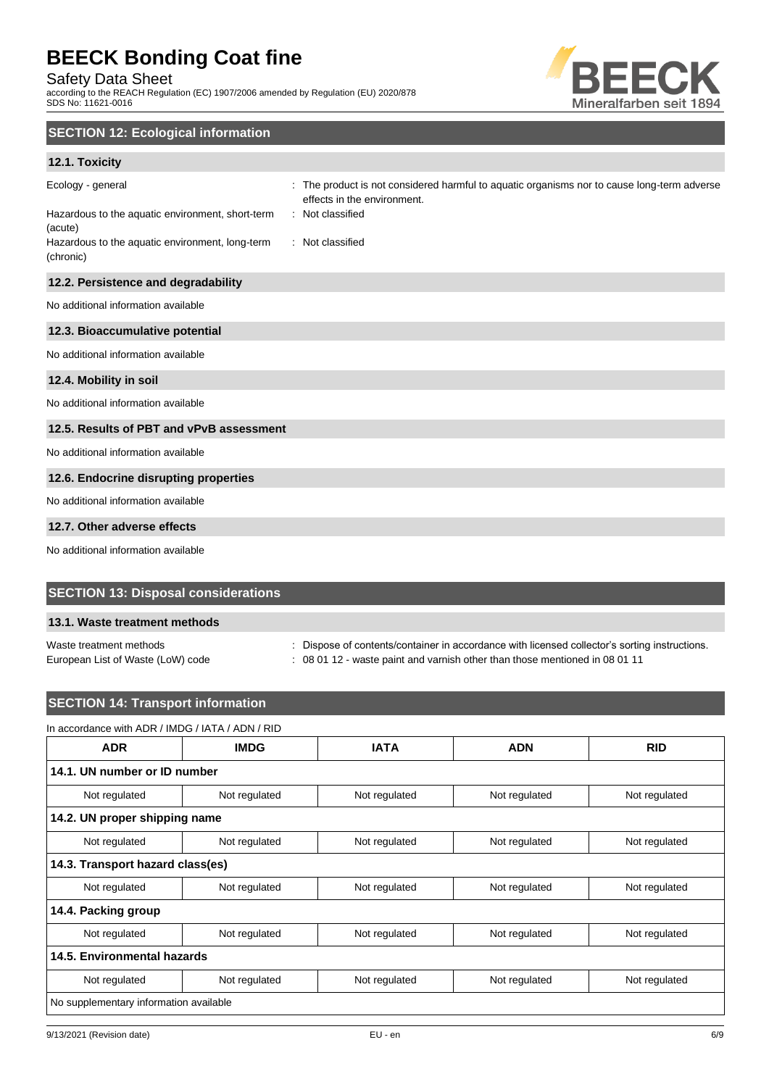Safety Data Sheet

according to the REACH Regulation (EC) 1907/2006 amended by Regulation (EU) 2020/878 SDS No: 11621-0016



# **SECTION 12: Ecological information**

## **12.1. Toxicity**

| Ecology - general<br>Hazardous to the aquatic environment, short-term<br>(acute)<br>Hazardous to the aquatic environment, long-term<br>(chronic) | The product is not considered harmful to aquatic organisms nor to cause long-term adverse<br>effects in the environment.<br>: Not classified<br>: Not classified |
|--------------------------------------------------------------------------------------------------------------------------------------------------|------------------------------------------------------------------------------------------------------------------------------------------------------------------|
| 12.2. Persistence and degradability                                                                                                              |                                                                                                                                                                  |
| No additional information available                                                                                                              |                                                                                                                                                                  |
| 12.3. Bioaccumulative potential                                                                                                                  |                                                                                                                                                                  |
| No additional information available                                                                                                              |                                                                                                                                                                  |
| 12.4. Mobility in soil                                                                                                                           |                                                                                                                                                                  |
| No additional information available                                                                                                              |                                                                                                                                                                  |
| 12.5. Results of PBT and vPvB assessment                                                                                                         |                                                                                                                                                                  |
| No additional information available                                                                                                              |                                                                                                                                                                  |
| 12.6. Endocrine disrupting properties                                                                                                            |                                                                                                                                                                  |
| No additional information available                                                                                                              |                                                                                                                                                                  |
| 12.7. Other adverse effects                                                                                                                      |                                                                                                                                                                  |

# No additional information available

## **SECTION 13: Disposal considerations**

## **13.1. Waste treatment methods**

Waste treatment methods : Dispose of contents/container in accordance with licensed collector's sorting instructions.

European List of Waste (LoW) code : 08 01 12 - waste paint and varnish other than those mentioned in 08 01 11

# **SECTION 14: Transport information**

# In accordance with ADR / IMDG / IATA / ADN / RID

| <b>ADR</b>                             | <b>IMDG</b>   | <b>IATA</b>   | <b>ADN</b>    | <b>RID</b>    |  |
|----------------------------------------|---------------|---------------|---------------|---------------|--|
| 14.1. UN number or ID number           |               |               |               |               |  |
| Not regulated                          | Not regulated | Not regulated | Not regulated | Not regulated |  |
| 14.2. UN proper shipping name          |               |               |               |               |  |
| Not regulated                          | Not regulated | Not regulated | Not regulated | Not regulated |  |
| 14.3. Transport hazard class(es)       |               |               |               |               |  |
| Not regulated                          | Not regulated | Not regulated | Not regulated | Not regulated |  |
| 14.4. Packing group                    |               |               |               |               |  |
| Not regulated                          | Not regulated | Not regulated | Not regulated | Not regulated |  |
| 14.5. Environmental hazards            |               |               |               |               |  |
| Not regulated                          | Not regulated | Not regulated | Not regulated | Not regulated |  |
| No supplementary information available |               |               |               |               |  |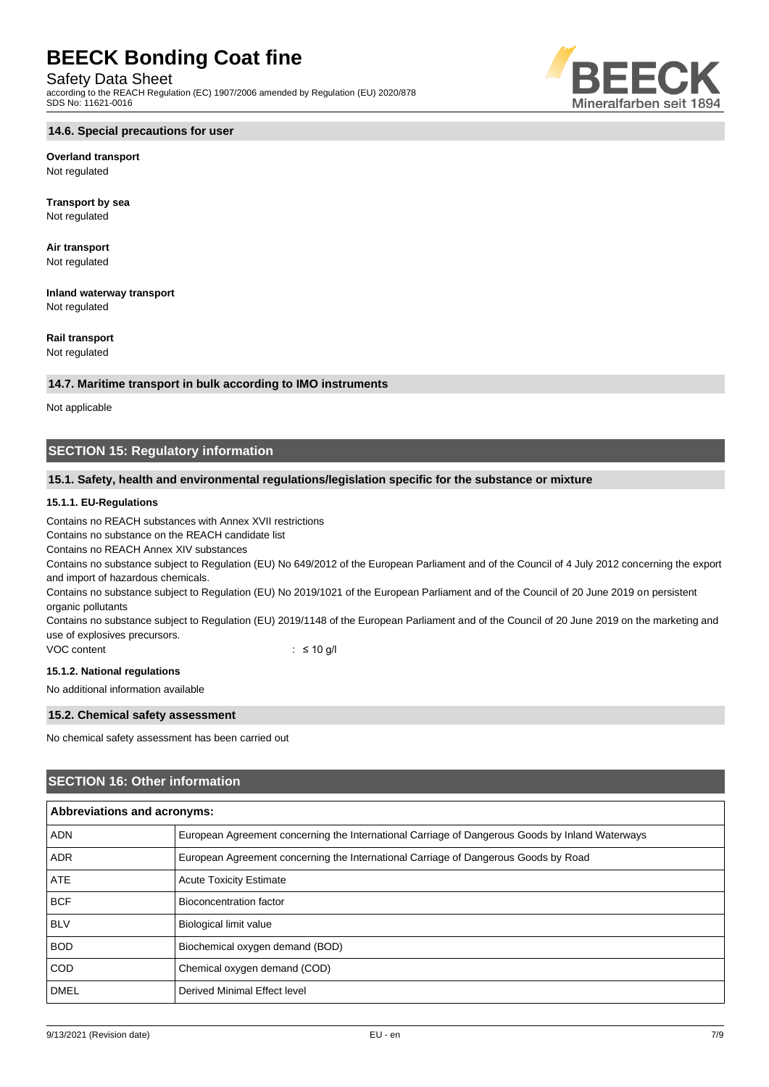Safety Data Sheet

according to the REACH Regulation (EC) 1907/2006 amended by Regulation (EU) 2020/878 SDS No: 11621-0016

#### **14.6. Special precautions for user**

# **Overland transport**

Not regulated

**Transport by sea** Not regulated

**Air transport** Not regulated

**Inland waterway transport** Not regulated

## **Rail transport**

Not regulated

#### **14.7. Maritime transport in bulk according to IMO instruments**

Not applicable

## **SECTION 15: Regulatory information**

### **15.1. Safety, health and environmental regulations/legislation specific for the substance or mixture**

#### **15.1.1. EU-Regulations**

Contains no REACH substances with Annex XVII restrictions

Contains no substance on the REACH candidate list

Contains no REACH Annex XIV substances

Contains no substance subject to Regulation (EU) No 649/2012 of the European Parliament and of the Council of 4 July 2012 concerning the export and import of hazardous chemicals.

Contains no substance subject to Regulation (EU) No 2019/1021 of the European Parliament and of the Council of 20 June 2019 on persistent organic pollutants

Contains no substance subject to Regulation (EU) 2019/1148 of the European Parliament and of the Council of 20 June 2019 on the marketing and use of explosives precursors.

VOC content : ≤ 10 g/l

#### **15.1.2. National regulations**

No additional information available

### **15.2. Chemical safety assessment**

No chemical safety assessment has been carried out

## **SECTION 16: Other information**

| Abbreviations and acronyms: |                                                                                                 |  |  |
|-----------------------------|-------------------------------------------------------------------------------------------------|--|--|
| <b>ADN</b>                  | European Agreement concerning the International Carriage of Dangerous Goods by Inland Waterways |  |  |
| <b>ADR</b>                  | European Agreement concerning the International Carriage of Dangerous Goods by Road             |  |  |
| <b>ATE</b>                  | <b>Acute Toxicity Estimate</b>                                                                  |  |  |
| <b>BCF</b>                  | Bioconcentration factor                                                                         |  |  |
| <b>BLV</b>                  | <b>Biological limit value</b>                                                                   |  |  |
| <b>BOD</b>                  | Biochemical oxygen demand (BOD)                                                                 |  |  |
| <b>COD</b>                  | Chemical oxygen demand (COD)                                                                    |  |  |
| <b>DMEL</b>                 | Derived Minimal Effect level                                                                    |  |  |

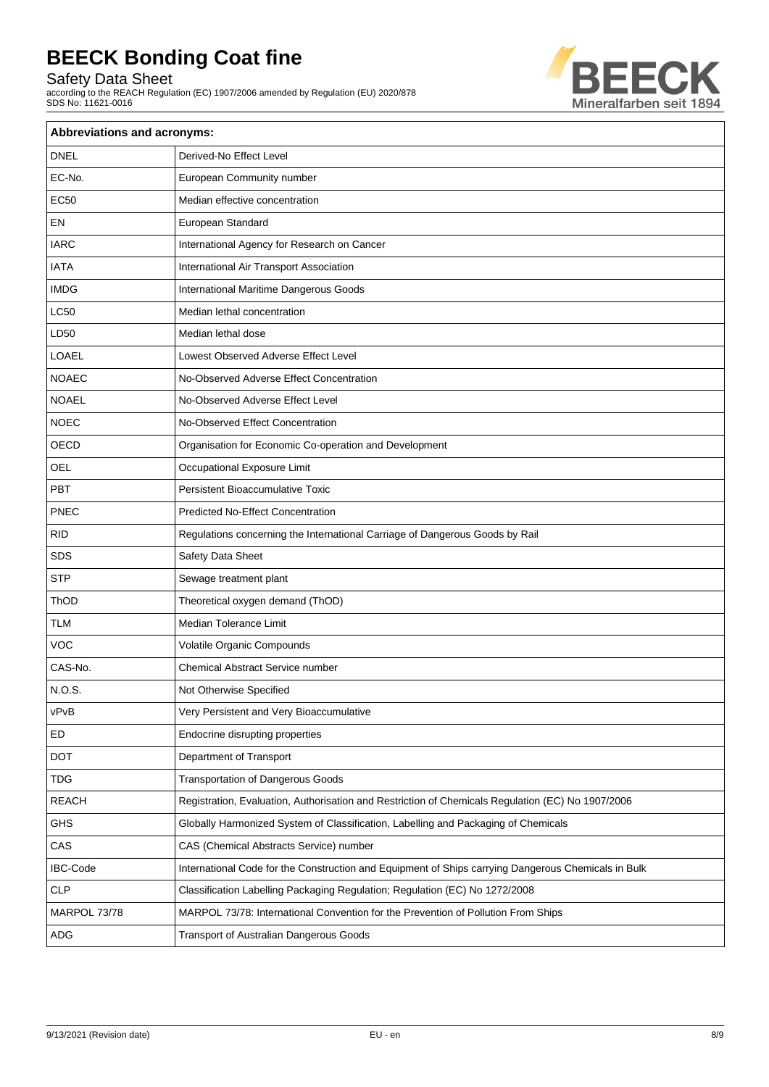Safety Data Sheet

according to the REACH Regulation (EC) 1907/2006 amended by Regulation (EU) 2020/878 SDS No: 11621-0016



| <b>Abbreviations and acronyms:</b> |                                                                                                     |  |  |  |
|------------------------------------|-----------------------------------------------------------------------------------------------------|--|--|--|
| <b>DNEL</b>                        | Derived-No Effect Level                                                                             |  |  |  |
| EC-No.                             | European Community number                                                                           |  |  |  |
| <b>EC50</b>                        | Median effective concentration                                                                      |  |  |  |
| EN                                 | European Standard                                                                                   |  |  |  |
| <b>IARC</b>                        | International Agency for Research on Cancer                                                         |  |  |  |
| <b>IATA</b>                        | International Air Transport Association                                                             |  |  |  |
| <b>IMDG</b>                        | International Maritime Dangerous Goods                                                              |  |  |  |
| <b>LC50</b>                        | Median lethal concentration                                                                         |  |  |  |
| LD50                               | Median lethal dose                                                                                  |  |  |  |
| <b>LOAEL</b>                       | Lowest Observed Adverse Effect Level                                                                |  |  |  |
| <b>NOAEC</b>                       | No-Observed Adverse Effect Concentration                                                            |  |  |  |
| <b>NOAEL</b>                       | No-Observed Adverse Effect Level                                                                    |  |  |  |
| <b>NOEC</b>                        | No-Observed Effect Concentration                                                                    |  |  |  |
| OECD                               | Organisation for Economic Co-operation and Development                                              |  |  |  |
| <b>OEL</b>                         | Occupational Exposure Limit                                                                         |  |  |  |
| PBT                                | <b>Persistent Bioaccumulative Toxic</b>                                                             |  |  |  |
| PNEC                               | <b>Predicted No-Effect Concentration</b>                                                            |  |  |  |
| <b>RID</b>                         | Regulations concerning the International Carriage of Dangerous Goods by Rail                        |  |  |  |
| <b>SDS</b>                         | Safety Data Sheet                                                                                   |  |  |  |
| <b>STP</b>                         | Sewage treatment plant                                                                              |  |  |  |
| ThOD                               | Theoretical oxygen demand (ThOD)                                                                    |  |  |  |
| <b>TLM</b>                         | <b>Median Tolerance Limit</b>                                                                       |  |  |  |
| VOC                                | Volatile Organic Compounds                                                                          |  |  |  |
| CAS-No.                            | Chemical Abstract Service number                                                                    |  |  |  |
| N.O.S.                             | Not Otherwise Specified                                                                             |  |  |  |
| vPvB                               | Very Persistent and Very Bioaccumulative                                                            |  |  |  |
| ED                                 | Endocrine disrupting properties                                                                     |  |  |  |
| DOT                                | Department of Transport                                                                             |  |  |  |
| <b>TDG</b>                         | <b>Transportation of Dangerous Goods</b>                                                            |  |  |  |
| <b>REACH</b>                       | Registration, Evaluation, Authorisation and Restriction of Chemicals Regulation (EC) No 1907/2006   |  |  |  |
| <b>GHS</b>                         | Globally Harmonized System of Classification, Labelling and Packaging of Chemicals                  |  |  |  |
| CAS                                | CAS (Chemical Abstracts Service) number                                                             |  |  |  |
| <b>IBC-Code</b>                    | International Code for the Construction and Equipment of Ships carrying Dangerous Chemicals in Bulk |  |  |  |
| <b>CLP</b>                         | Classification Labelling Packaging Regulation; Regulation (EC) No 1272/2008                         |  |  |  |
| MARPOL 73/78                       | MARPOL 73/78: International Convention for the Prevention of Pollution From Ships                   |  |  |  |
| ADG                                | Transport of Australian Dangerous Goods                                                             |  |  |  |